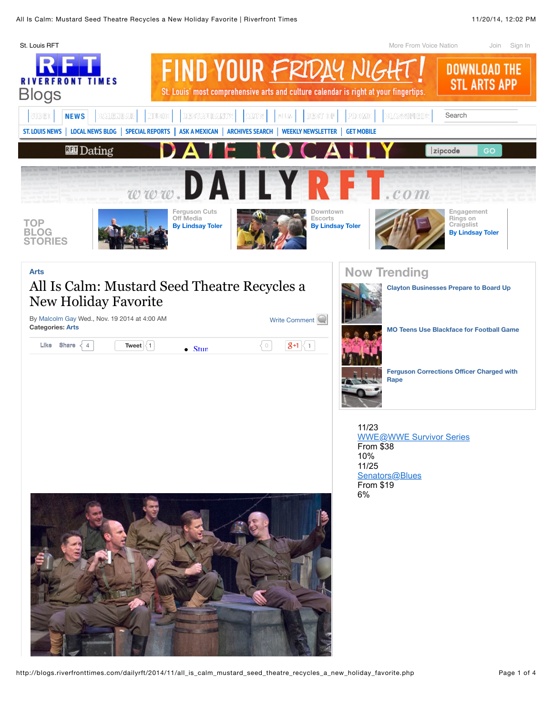